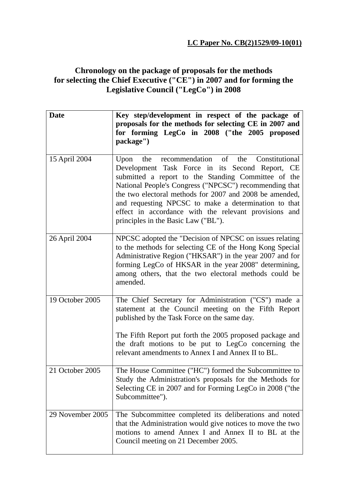## **Chronology on the package of proposals for the methods for selecting the Chief Executive ("CE") in 2007 and for forming the Legislative Council ("LegCo") in 2008**

| <b>Date</b>      | Key step/development in respect of the package of<br>proposals for the methods for selecting CE in 2007 and<br>for forming LegCo in 2008 ("the 2005 proposed<br>package")                                                                                                                                                                                                                                                            |
|------------------|--------------------------------------------------------------------------------------------------------------------------------------------------------------------------------------------------------------------------------------------------------------------------------------------------------------------------------------------------------------------------------------------------------------------------------------|
| 15 April 2004    | Upon the recommendation of the Constitutional<br>Development Task Force in its Second Report, CE<br>submitted a report to the Standing Committee of the<br>National People's Congress ("NPCSC") recommending that<br>the two electoral methods for 2007 and 2008 be amended,<br>and requesting NPCSC to make a determination to that<br>effect in accordance with the relevant provisions and<br>principles in the Basic Law ("BL"). |
| 26 April 2004    | NPCSC adopted the "Decision of NPCSC on issues relating<br>to the methods for selecting CE of the Hong Kong Special<br>Administrative Region ("HKSAR") in the year 2007 and for<br>forming LegCo of HKSAR in the year 2008" determining,<br>among others, that the two electoral methods could be<br>amended.                                                                                                                        |
| 19 October 2005  | The Chief Secretary for Administration ("CS") made a<br>statement at the Council meeting on the Fifth Report<br>published by the Task Force on the same day.<br>The Fifth Report put forth the 2005 proposed package and<br>the draft motions to be put to LegCo concerning the<br>relevant amendments to Annex I and Annex II to BL.                                                                                                |
| 21 October 2005  | The House Committee ("HC") formed the Subcommittee to<br>Study the Administration's proposals for the Methods for<br>Selecting CE in 2007 and for Forming LegCo in 2008 ("the<br>Subcommittee").                                                                                                                                                                                                                                     |
| 29 November 2005 | The Subcommittee completed its deliberations and noted<br>that the Administration would give notices to move the two<br>motions to amend Annex I and Annex II to BL at the<br>Council meeting on 21 December 2005.                                                                                                                                                                                                                   |